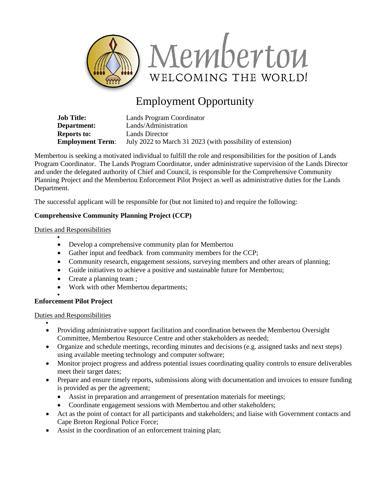

# Employment Opportunity

| <b>Job Title:</b>       | Lands Program Coordinator                                  |
|-------------------------|------------------------------------------------------------|
| <b>Department:</b>      | Lands/Administration                                       |
| Reports to:             | Lands Director                                             |
| <b>Employment Term:</b> | July 2022 to March 31 2023 (with possibility of extension) |

Membertou is seeking a motivated individual to fulfill the role and responsibilities for the position of Lands Program Coordinator. The Lands Program Coordinator, under administrative supervision of the Lands Director and under the delegated authority of Chief and Council, is responsible for the Comprehensive Community Planning Project and the Membertou Enforcement Pilot Project as well as administrative duties for the Lands Department.

The successful applicant will be responsible for (but not limited to) and require the following:

## **Comprehensive Community Planning Project (CCP)**

### Duties and Responsibilities

•

- Develop a comprehensive community plan for Membertou
- Gather input and feedback from community members for the CCP;
- Community research, engagement sessions, surveying members and other arears of planning;
- Guide initiatives to achieve a positive and sustainable future for Membertou;
- Create a planning team;
- Work with other Membertou departments;

#### • **Enforcement Pilot Project**

#### Duties and Responsibilities

•

- Providing administrative support facilitation and coordination between the Membertou Oversight Committee, Membertou Resource Centre and other stakeholders as needed;
- Organize and schedule meetings, recording minutes and decisions (e.g. assigned tasks and next steps) using available meeting technology and computer software;
- Monitor project progress and address potential issues coordinating quality controls to ensure deliverables meet their target dates;
- Prepare and ensure timely reports, submissions along with documentation and invoices to ensure funding is provided as per the agreement;
	- Assist in preparation and arrangement of presentation materials for meetings;
	- Coordinate engagement sessions with Membertou and other stakeholders;
- Act as the point of contact for all participants and stakeholders; and liaise with Government contacts and Cape Breton Regional Police Force;
- Assist in the coordination of an enforcement training plan;